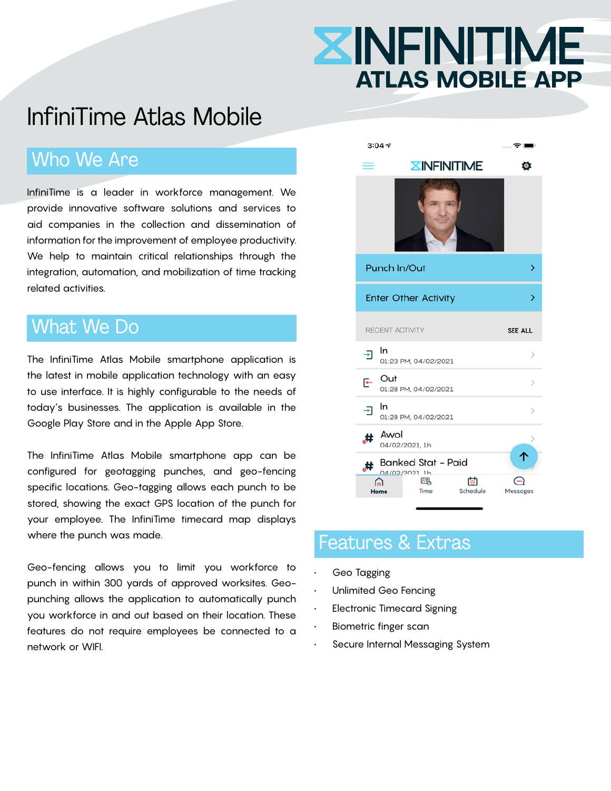# **XINFINITIME ATLAS MOBILE APP**

## InfiniTime Atlas Mobile

#### Who We Are

InfiniTime is a leader in workforce management. We provide innovative software solutions and services to aid companies in the collection and dissemination of information for the improvement of employee productivity. We help to maintain critical relationships through the integration, automation, and mobilization of time tracking related activities.

#### What We Do

The InfiniTime Atlas Mobile smartphone application is the latest in mobile application technology with an easy to use interface. It is highly configurable to the needs of today's businesses. The application is available in the Google Play Store and in the Apple App Store.

The InfiniTime Atlas Mobile smartphone app can be configured for geotagging punches, and geo-fencing specific locations. Geo-tagging allows each punch to be stored, showing the exact GPS location of the punch for your employee. The InfiniTime timecard map displays where the punch was made.

Geo-fencing allows you to limit you workforce to punch in within 300 yards of approved worksites. Geopunching allows the application to automatically punch you workforce in and out based on their location. These features do not require employees be connected to a network or WIFI.



### Features & Extras

- Geo Tagging
- Unlimited Geo Fencing
- Electronic Timecard Signing
- Biometric finger scan
- Secure Internal Messaging System